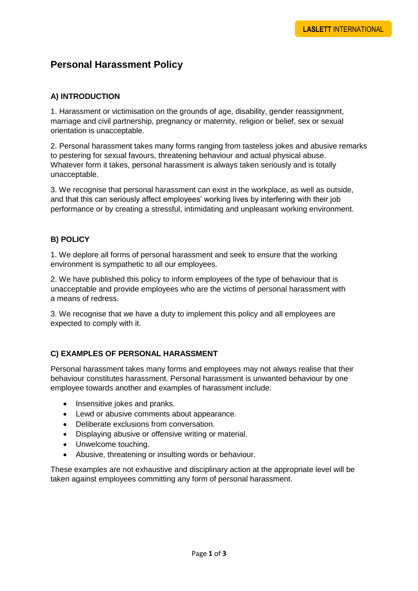# **Personal Harassment Policy**

# **A) INTRODUCTION**

1. Harassment or victimisation on the grounds of age, disability, gender reassignment, marriage and civil partnership, pregnancy or maternity, religion or belief, sex or sexual orientation is unacceptable.

2. Personal harassment takes many forms ranging from tasteless jokes and abusive remarks to pestering for sexual favours, threatening behaviour and actual physical abuse. Whatever form it takes, personal harassment is always taken seriously and is totally unacceptable.

3. We recognise that personal harassment can exist in the workplace, as well as outside, and that this can seriously affect employees' working lives by interfering with their job performance or by creating a stressful, intimidating and unpleasant working environment.

# **B) POLICY**

1. We deplore all forms of personal harassment and seek to ensure that the working environment is sympathetic to all our employees.

2. We have published this policy to inform employees of the type of behaviour that is unacceptable and provide employees who are the victims of personal harassment with a means of redress.

3. We recognise that we have a duty to implement this policy and all employees are expected to comply with it.

### **C) EXAMPLES OF PERSONAL HARASSMENT**

Personal harassment takes many forms and employees may not always realise that their behaviour constitutes harassment. Personal harassment is unwanted behaviour by one employee towards another and examples of harassment include:

- Insensitive jokes and pranks.
- Lewd or abusive comments about appearance.
- Deliberate exclusions from conversation.
- Displaying abusive or offensive writing or material.
- Unwelcome touching.
- Abusive, threatening or insulting words or behaviour.

These examples are not exhaustive and disciplinary action at the appropriate level will be taken against employees committing any form of personal harassment.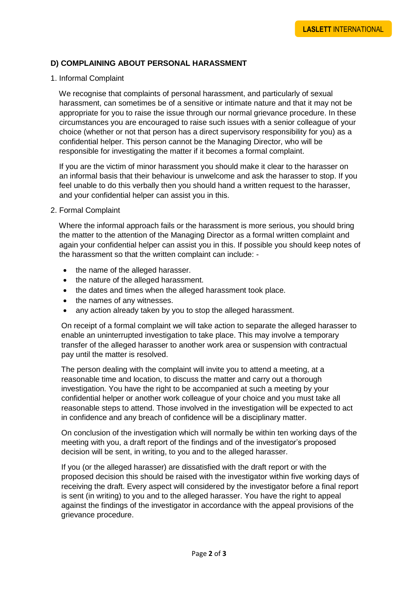### **D) COMPLAINING ABOUT PERSONAL HARASSMENT**

#### 1. Informal Complaint

We recognise that complaints of personal harassment, and particularly of sexual harassment, can sometimes be of a sensitive or intimate nature and that it may not be appropriate for you to raise the issue through our normal grievance procedure. In these circumstances you are encouraged to raise such issues with a senior colleague of your choice (whether or not that person has a direct supervisory responsibility for you) as a confidential helper. This person cannot be the Managing Director, who will be responsible for investigating the matter if it becomes a formal complaint.

 If you are the victim of minor harassment you should make it clear to the harasser on an informal basis that their behaviour is unwelcome and ask the harasser to stop. If you feel unable to do this verbally then you should hand a written request to the harasser, and your confidential helper can assist you in this.

#### 2. Formal Complaint

 Where the informal approach fails or the harassment is more serious, you should bring the matter to the attention of the Managing Director as a formal written complaint and again your confidential helper can assist you in this. If possible you should keep notes of the harassment so that the written complaint can include: -

- the name of the alleged harasser.
- the nature of the alleged harassment.
- the dates and times when the alleged harassment took place.
- the names of any witnesses.
- any action already taken by you to stop the alleged harassment.

 On receipt of a formal complaint we will take action to separate the alleged harasser to enable an uninterrupted investigation to take place. This may involve a temporary transfer of the alleged harasser to another work area or suspension with contractual pay until the matter is resolved.

 The person dealing with the complaint will invite you to attend a meeting, at a reasonable time and location, to discuss the matter and carry out a thorough investigation. You have the right to be accompanied at such a meeting by your confidential helper or another work colleague of your choice and you must take all reasonable steps to attend. Those involved in the investigation will be expected to act in confidence and any breach of confidence will be a disciplinary matter.

 On conclusion of the investigation which will normally be within ten working days of the meeting with you, a draft report of the findings and of the investigator's proposed decision will be sent, in writing, to you and to the alleged harasser.

 If you (or the alleged harasser) are dissatisfied with the draft report or with the proposed decision this should be raised with the investigator within five working days of receiving the draft. Every aspect will considered by the investigator before a final report is sent (in writing) to you and to the alleged harasser. You have the right to appeal against the findings of the investigator in accordance with the appeal provisions of the grievance procedure.